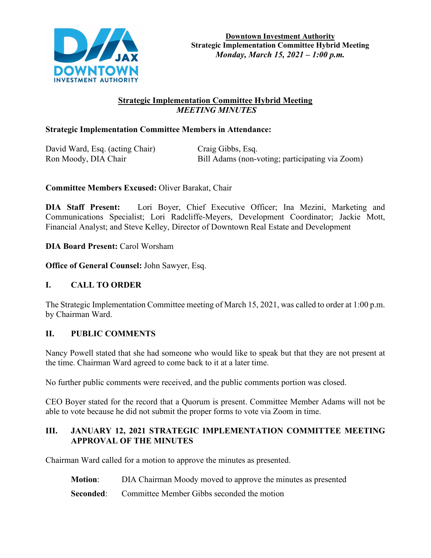

# **Strategic Implementation Committee Hybrid Meeting**  *MEETING MINUTES*

## **Strategic Implementation Committee Members in Attendance:**

David Ward, Esq. (acting Chair) Craig Gibbs, Esq.

Ron Moody, DIA Chair Bill Adams (non-voting; participating via Zoom)

## **Committee Members Excused:** Oliver Barakat, Chair

**DIA Staff Present:** Lori Boyer, Chief Executive Officer; Ina Mezini, Marketing and Communications Specialist; Lori Radcliffe-Meyers, Development Coordinator; Jackie Mott, Financial Analyst; and Steve Kelley, Director of Downtown Real Estate and Development

**DIA Board Present:** Carol Worsham

**Office of General Counsel:** John Sawyer, Esq.

## **I. CALL TO ORDER**

The Strategic Implementation Committee meeting of March 15, 2021, was called to order at 1:00 p.m. by Chairman Ward.

## **II. PUBLIC COMMENTS**

Nancy Powell stated that she had someone who would like to speak but that they are not present at the time. Chairman Ward agreed to come back to it at a later time.

No further public comments were received, and the public comments portion was closed.

CEO Boyer stated for the record that a Quorum is present. Committee Member Adams will not be able to vote because he did not submit the proper forms to vote via Zoom in time.

#### **III. JANUARY 12, 2021 STRATEGIC IMPLEMENTATION COMMITTEE MEETING APPROVAL OF THE MINUTES**

Chairman Ward called for a motion to approve the minutes as presented.

- **Motion**: DIA Chairman Moody moved to approve the minutes as presented
- **Seconded:** Committee Member Gibbs seconded the motion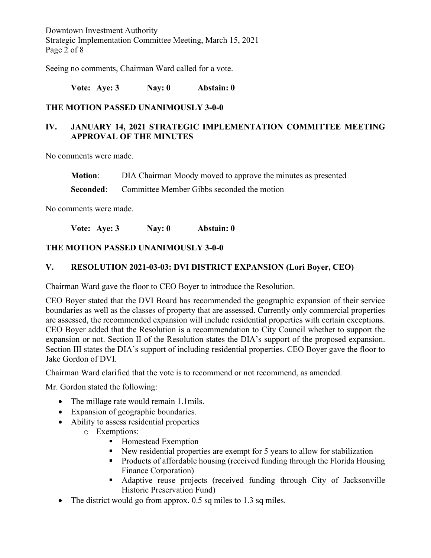Downtown Investment Authority Strategic Implementation Committee Meeting, March 15, 2021 Page 2 of 8

Seeing no comments, Chairman Ward called for a vote.

**Vote: Aye: 3 Nay: 0 Abstain: 0**

#### **THE MOTION PASSED UNANIMOUSLY 3-0-0**

# **IV. JANUARY 14, 2021 STRATEGIC IMPLEMENTATION COMMITTEE MEETING APPROVAL OF THE MINUTES**

No comments were made.

**Motion**: DIA Chairman Moody moved to approve the minutes as presented

**Seconded:** Committee Member Gibbs seconded the motion

No comments were made.

**Vote: Aye: 3 Nay: 0 Abstain: 0**

#### **THE MOTION PASSED UNANIMOUSLY 3-0-0**

#### **V. RESOLUTION 2021-03-03: DVI DISTRICT EXPANSION (Lori Boyer, CEO)**

Chairman Ward gave the floor to CEO Boyer to introduce the Resolution.

CEO Boyer stated that the DVI Board has recommended the geographic expansion of their service boundaries as well as the classes of property that are assessed. Currently only commercial properties are assessed, the recommended expansion will include residential properties with certain exceptions. CEO Boyer added that the Resolution is a recommendation to City Council whether to support the expansion or not. Section II of the Resolution states the DIA's support of the proposed expansion. Section III states the DIA's support of including residential properties. CEO Boyer gave the floor to Jake Gordon of DVI.

Chairman Ward clarified that the vote is to recommend or not recommend, as amended.

Mr. Gordon stated the following:

- The millage rate would remain 1.1mils.
- Expansion of geographic boundaries.
- Ability to assess residential properties
	- o Exemptions:
		- **Homestead Exemption**
		- New residential properties are exempt for 5 years to allow for stabilization
		- Products of affordable housing (received funding through the Florida Housing Finance Corporation)
		- Adaptive reuse projects (received funding through City of Jacksonville Historic Preservation Fund)
- The district would go from approx. 0.5 sq miles to 1.3 sq miles.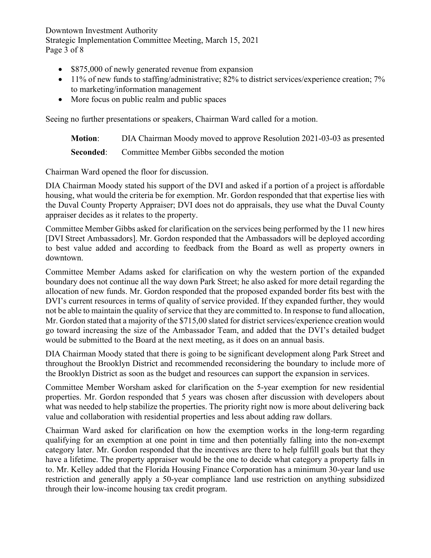Downtown Investment Authority Strategic Implementation Committee Meeting, March 15, 2021 Page 3 of 8

- \$875,000 of newly generated revenue from expansion
- 11% of new funds to staffing/administrative; 82% to district services/experience creation; 7% to marketing/information management
- More focus on public realm and public spaces

Seeing no further presentations or speakers, Chairman Ward called for a motion.

**Motion**: DIA Chairman Moody moved to approve Resolution 2021-03-03 as presented **Seconded:** Committee Member Gibbs seconded the motion

Chairman Ward opened the floor for discussion.

DIA Chairman Moody stated his support of the DVI and asked if a portion of a project is affordable housing, what would the criteria be for exemption. Mr. Gordon responded that that expertise lies with the Duval County Property Appraiser; DVI does not do appraisals, they use what the Duval County appraiser decides as it relates to the property.

Committee Member Gibbs asked for clarification on the services being performed by the 11 new hires [DVI Street Ambassadors]. Mr. Gordon responded that the Ambassadors will be deployed according to best value added and according to feedback from the Board as well as property owners in downtown.

Committee Member Adams asked for clarification on why the western portion of the expanded boundary does not continue all the way down Park Street; he also asked for more detail regarding the allocation of new funds. Mr. Gordon responded that the proposed expanded border fits best with the DVI's current resources in terms of quality of service provided. If they expanded further, they would not be able to maintain the quality of service that they are committed to. In response to fund allocation, Mr. Gordon stated that a majority of the \$715,00 slated for district services/experience creation would go toward increasing the size of the Ambassador Team, and added that the DVI's detailed budget would be submitted to the Board at the next meeting, as it does on an annual basis.

DIA Chairman Moody stated that there is going to be significant development along Park Street and throughout the Brooklyn District and recommended reconsidering the boundary to include more of the Brooklyn District as soon as the budget and resources can support the expansion in services.

Committee Member Worsham asked for clarification on the 5-year exemption for new residential properties. Mr. Gordon responded that 5 years was chosen after discussion with developers about what was needed to help stabilize the properties. The priority right now is more about delivering back value and collaboration with residential properties and less about adding raw dollars.

Chairman Ward asked for clarification on how the exemption works in the long-term regarding qualifying for an exemption at one point in time and then potentially falling into the non-exempt category later. Mr. Gordon responded that the incentives are there to help fulfill goals but that they have a lifetime. The property appraiser would be the one to decide what category a property falls in to. Mr. Kelley added that the Florida Housing Finance Corporation has a minimum 30-year land use restriction and generally apply a 50-year compliance land use restriction on anything subsidized through their low-income housing tax credit program.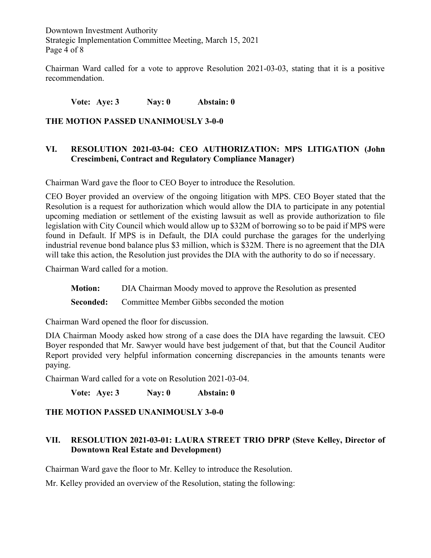Downtown Investment Authority Strategic Implementation Committee Meeting, March 15, 2021 Page 4 of 8

Chairman Ward called for a vote to approve Resolution 2021-03-03, stating that it is a positive recommendation.

**Vote: Aye: 3 Nay: 0 Abstain: 0** 

### **THE MOTION PASSED UNANIMOUSLY 3-0-0**

### **VI. RESOLUTION 2021-03-04: CEO AUTHORIZATION: MPS LITIGATION (John Crescimbeni, Contract and Regulatory Compliance Manager)**

Chairman Ward gave the floor to CEO Boyer to introduce the Resolution.

CEO Boyer provided an overview of the ongoing litigation with MPS. CEO Boyer stated that the Resolution is a request for authorization which would allow the DIA to participate in any potential upcoming mediation or settlement of the existing lawsuit as well as provide authorization to file legislation with City Council which would allow up to \$32M of borrowing so to be paid if MPS were found in Default. If MPS is in Default, the DIA could purchase the garages for the underlying industrial revenue bond balance plus \$3 million, which is \$32M. There is no agreement that the DIA will take this action, the Resolution just provides the DIA with the authority to do so if necessary.

Chairman Ward called for a motion.

**Motion:** DIA Chairman Moody moved to approve the Resolution as presented

**Seconded:** Committee Member Gibbs seconded the motion

Chairman Ward opened the floor for discussion.

DIA Chairman Moody asked how strong of a case does the DIA have regarding the lawsuit. CEO Boyer responded that Mr. Sawyer would have best judgement of that, but that the Council Auditor Report provided very helpful information concerning discrepancies in the amounts tenants were paying.

Chairman Ward called for a vote on Resolution 2021-03-04.

**Vote: Aye: 3 Nay: 0 Abstain: 0** 

#### **THE MOTION PASSED UNANIMOUSLY 3-0-0**

## **VII. RESOLUTION 2021-03-01: LAURA STREET TRIO DPRP (Steve Kelley, Director of Downtown Real Estate and Development)**

Chairman Ward gave the floor to Mr. Kelley to introduce the Resolution.

Mr. Kelley provided an overview of the Resolution, stating the following: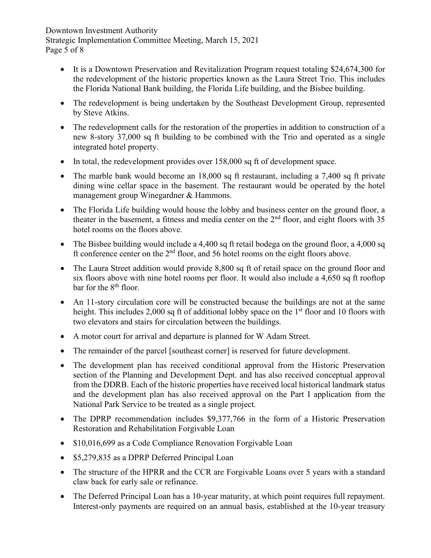Downtown Investment Authority Strategic Implementation Committee Meeting, March 15, 2021 Page 5 of 8

- It is a Downtown Preservation and Revitalization Program request totaling \$24,674,300 for the redevelopment of the historic properties known as the Laura Street Trio. This includes the Florida National Bank building, the Florida Life building, and the Bisbee building.
- The redevelopment is being undertaken by the Southeast Development Group, represented by Steve Atkins.
- The redevelopment calls for the restoration of the properties in addition to construction of a new 8-story 37,000 sq ft building to be combined with the Trio and operated as a single integrated hotel property.
- In total, the redevelopment provides over 158,000 sq ft of development space.
- The marble bank would become an 18,000 sq ft restaurant, including a 7,400 sq ft private dining wine cellar space in the basement. The restaurant would be operated by the hotel management group Winegardner & Hammons.
- The Florida Life building would house the lobby and business center on the ground floor, a theater in the basement, a fitness and media center on the  $2<sup>nd</sup>$  floor, and eight floors with 35 hotel rooms on the floors above.
- The Bisbee building would include a 4,400 sq ft retail bodega on the ground floor, a 4,000 sq ft conference center on the  $2<sup>nd</sup>$  floor, and 56 hotel rooms on the eight floors above.
- The Laura Street addition would provide 8,800 sq ft of retail space on the ground floor and six floors above with nine hotel rooms per floor. It would also include a 4,650 sq ft rooftop bar for the 8<sup>th</sup> floor.
- An 11-story circulation core will be constructed because the buildings are not at the same height. This includes 2,000 sq ft of additional lobby space on the  $1<sup>st</sup>$  floor and 10 floors with two elevators and stairs for circulation between the buildings.
- A motor court for arrival and departure is planned for W Adam Street.
- The remainder of the parcel [southeast corner] is reserved for future development.
- The development plan has received conditional approval from the Historic Preservation section of the Planning and Development Dept. and has also received conceptual approval from the DDRB. Each of the historic properties have received local historical landmark status and the development plan has also received approval on the Part I application from the National Park Service to be treated as a single project.
- The DPRP recommendation includes \$9,377,766 in the form of a Historic Preservation Restoration and Rehabilitation Forgivable Loan
- \$10,016,699 as a Code Compliance Renovation Forgivable Loan
- \$5,279,835 as a DPRP Deferred Principal Loan
- The structure of the HPRR and the CCR are Forgivable Loans over 5 years with a standard claw back for early sale or refinance.
- The Deferred Principal Loan has a 10-year maturity, at which point requires full repayment. Interest-only payments are required on an annual basis, established at the 10-year treasury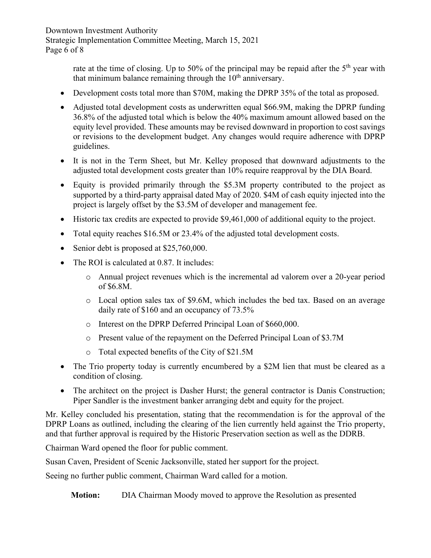Downtown Investment Authority Strategic Implementation Committee Meeting, March 15, 2021 Page 6 of 8

> rate at the time of closing. Up to 50% of the principal may be repaid after the  $5<sup>th</sup>$  year with that minimum balance remaining through the  $10<sup>th</sup>$  anniversary.

- Development costs total more than \$70M, making the DPRP 35% of the total as proposed.
- Adjusted total development costs as underwritten equal \$66.9M, making the DPRP funding 36.8% of the adjusted total which is below the 40% maximum amount allowed based on the equity level provided. These amounts may be revised downward in proportion to cost savings or revisions to the development budget. Any changes would require adherence with DPRP guidelines.
- It is not in the Term Sheet, but Mr. Kelley proposed that downward adjustments to the adjusted total development costs greater than 10% require reapproval by the DIA Board.
- Equity is provided primarily through the \$5.3M property contributed to the project as supported by a third-party appraisal dated May of 2020. \$4M of cash equity injected into the project is largely offset by the \$3.5M of developer and management fee.
- Historic tax credits are expected to provide \$9,461,000 of additional equity to the project.
- Total equity reaches \$16.5M or 23.4% of the adjusted total development costs.
- Senior debt is proposed at \$25,760,000.
- The ROI is calculated at 0.87. It includes:
	- o Annual project revenues which is the incremental ad valorem over a 20-year period of \$6.8M.
	- o Local option sales tax of \$9.6M, which includes the bed tax. Based on an average daily rate of \$160 and an occupancy of 73.5%
	- o Interest on the DPRP Deferred Principal Loan of \$660,000.
	- o Present value of the repayment on the Deferred Principal Loan of \$3.7M
	- o Total expected benefits of the City of \$21.5M
- The Trio property today is currently encumbered by a \$2M lien that must be cleared as a condition of closing.
- The architect on the project is Dasher Hurst; the general contractor is Danis Construction; Piper Sandler is the investment banker arranging debt and equity for the project.

Mr. Kelley concluded his presentation, stating that the recommendation is for the approval of the DPRP Loans as outlined, including the clearing of the lien currently held against the Trio property, and that further approval is required by the Historic Preservation section as well as the DDRB.

Chairman Ward opened the floor for public comment.

Susan Caven, President of Scenic Jacksonville, stated her support for the project.

Seeing no further public comment, Chairman Ward called for a motion.

**Motion:** DIA Chairman Moody moved to approve the Resolution as presented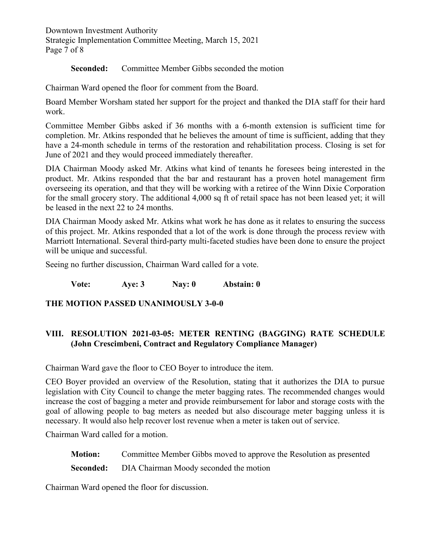Downtown Investment Authority Strategic Implementation Committee Meeting, March 15, 2021 Page 7 of 8

**Seconded:** Committee Member Gibbs seconded the motion

Chairman Ward opened the floor for comment from the Board.

Board Member Worsham stated her support for the project and thanked the DIA staff for their hard work.

Committee Member Gibbs asked if 36 months with a 6-month extension is sufficient time for completion. Mr. Atkins responded that he believes the amount of time is sufficient, adding that they have a 24-month schedule in terms of the restoration and rehabilitation process. Closing is set for June of 2021 and they would proceed immediately thereafter.

DIA Chairman Moody asked Mr. Atkins what kind of tenants he foresees being interested in the product. Mr. Atkins responded that the bar and restaurant has a proven hotel management firm overseeing its operation, and that they will be working with a retiree of the Winn Dixie Corporation for the small grocery story. The additional 4,000 sq ft of retail space has not been leased yet; it will be leased in the next 22 to 24 months.

DIA Chairman Moody asked Mr. Atkins what work he has done as it relates to ensuring the success of this project. Mr. Atkins responded that a lot of the work is done through the process review with Marriott International. Several third-party multi-faceted studies have been done to ensure the project will be unique and successful.

Seeing no further discussion, Chairman Ward called for a vote.

**Vote: Aye: 3 Nay: 0 Abstain: 0**

## **THE MOTION PASSED UNANIMOUSLY 3-0-0**

# **VIII. RESOLUTION 2021-03-05: METER RENTING (BAGGING) RATE SCHEDULE (John Crescimbeni, Contract and Regulatory Compliance Manager)**

Chairman Ward gave the floor to CEO Boyer to introduce the item.

CEO Boyer provided an overview of the Resolution, stating that it authorizes the DIA to pursue legislation with City Council to change the meter bagging rates. The recommended changes would increase the cost of bagging a meter and provide reimbursement for labor and storage costs with the goal of allowing people to bag meters as needed but also discourage meter bagging unless it is necessary. It would also help recover lost revenue when a meter is taken out of service.

Chairman Ward called for a motion.

**Motion:** Committee Member Gibbs moved to approve the Resolution as presented

**Seconded:** DIA Chairman Moody seconded the motion

Chairman Ward opened the floor for discussion.